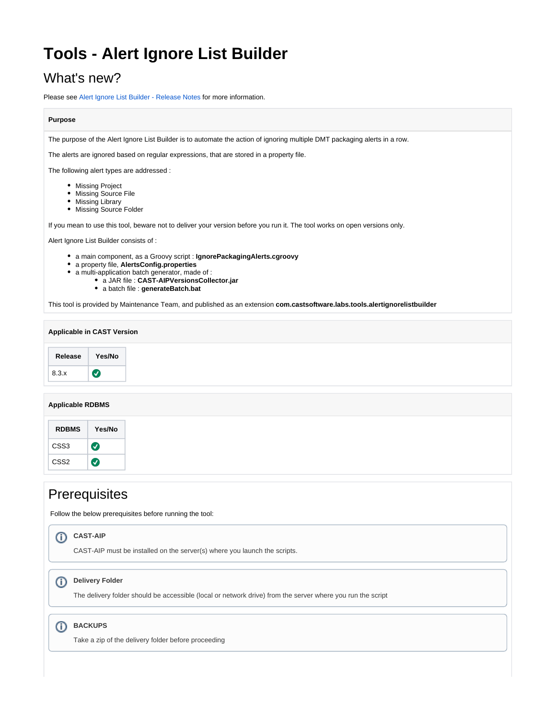# **Tools - Alert Ignore List Builder**

# What's new?

Please see [Alert Ignore List Builder - Release Notes](https://doc.castsoftware.com/display/TG/Tools+-+Alert+Ignore+List+Builder+-+Release+Notes) for more information.

## **Purpose**

The purpose of the Alert Ignore List Builder is to automate the action of ignoring multiple DMT packaging alerts in a row.

The alerts are ignored based on regular expressions, that are stored in a property file.

The following alert types are addressed :

- Missing Project
- Missing Source File
- Missing Library
- Missing Source Folder

If you mean to use this tool, beware not to deliver your version before you run it. The tool works on open versions only.

Alert Ignore List Builder consists of :

- a main component, as a Groovy script : **IgnorePackagingAlerts.cgroovy**
- a property file, **AlertsConfig.properties**
- a multi-application batch generator, made of :
	- a JAR file : **CAST-AIPVersionsCollector.jar**
	- a batch file : **generateBatch.bat**

This tool is provided by Maintenance Team, and published as an extension **com.castsoftware.labs.tools.alertignorelistbuilder**

| <b>Applicable in CAST Version</b> |           |  |
|-----------------------------------|-----------|--|
| Release                           | Yes/No    |  |
| 8.3.x                             | $\bullet$ |  |

### **Applicable RDBMS**

| <b>RDBMS</b>     | Yes/No |
|------------------|--------|
| CSS <sub>3</sub> |        |
| CSS <sub>2</sub> |        |

# **Prerequisites**

Follow the below prerequisites before running the tool:

#### **CAST-AIP** O)

CAST-AIP must be installed on the server(s) where you launch the scripts.

#### **Delivery Folder** (i)

The delivery folder should be accessible (local or network drive) from the server where you run the script

## **BACKUPS**

Take a zip of the delivery folder before proceeding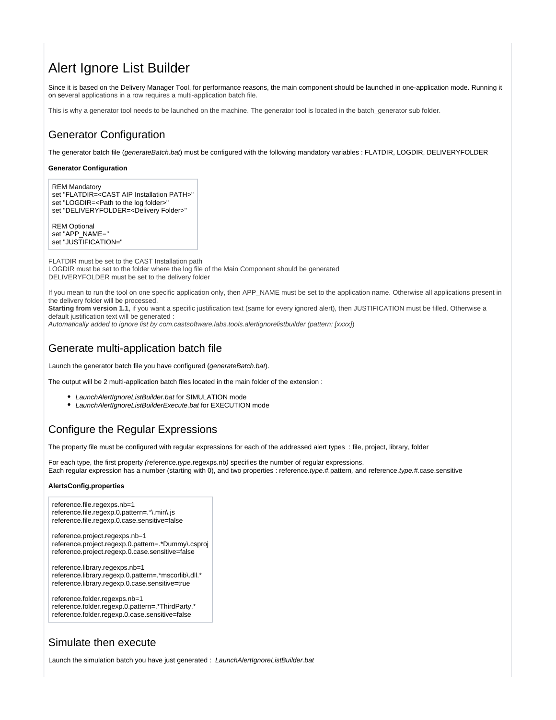# Alert Ignore List Builder

Since it is based on the Delivery Manager Tool, for performance reasons, the main component should be launched in one-application mode. Running it on several applications in a row requires a multi-application batch file.

This is why a generator tool needs to be launched on the machine. The generator tool is located in the batch\_generator sub folder.

## Generator Configuration

The generator batch file (generateBatch.bat) must be configured with the following mandatory variables : FLATDIR, LOGDIR, DELIVERYFOLDER

### **Generator Configuration**

REM Mandatory set "FLATDIR=<CAST AIP Installation PATH>" set "LOGDIR=<Path to the log folder>" set "DELIVERYFOLDER=<Delivery Folder>"

REM Optional set "APP\_NAME=" set "JUSTIFICATION="

FLATDIR must be set to the CAST Installation path LOGDIR must be set to the folder where the log file of the Main Component should be generated DELIVERYFOLDER must be set to the delivery folder

If you mean to run the tool on one specific application only, then APP\_NAME must be set to the application name. Otherwise all applications present in the delivery folder will be processed.

Starting from version 1.1, if you want a specific justification text (same for every ignored alert), then JUSTIFICATION must be filled. Otherwise a default justification text will be generated :

Automatically added to ignore list by com.castsoftware.labs.tools.alertignorelistbuilder (pattern: [xxxx])

## Generate multi-application batch file

Launch the generator batch file you have configured (generateBatch.bat).

The output will be 2 multi-application batch files located in the main folder of the extension :

- LaunchAlertIgnoreListBuilder.bat for SIMULATION mode
- LaunchAlertIgnoreListBuilderExecute.bat for EXECUTION mode

## Configure the Regular Expressions

The property file must be configured with regular expressions for each of the addressed alert types : file, project, library, folder

For each type, the first property (reference.type.regexps.nb) specifies the number of regular expressions. Each regular expression has a number (starting with 0), and two properties : reference.type.#.pattern, and reference.type.#.case.sensitive

### **AlertsConfig.properties**

reference.file.regexps.nb=1 reference.file.regexp.0.pattern=.\*\.min\.js reference.file.regexp.0.case.sensitive=false

reference.project.regexps.nb=1 reference.project.regexp.0.pattern=.\*Dummy\.csproj reference.project.regexp.0.case.sensitive=false

reference.library.regexps.nb=1 reference.library.regexp.0.pattern=.\*mscorlib\.dll.\* reference.library.regexp.0.case.sensitive=true

reference.folder.regexps.nb=1 reference.folder.regexp.0.pattern=.\*ThirdParty.\* reference.folder.regexp.0.case.sensitive=false

## Simulate then execute

Launch the simulation batch you have just generated : LaunchAlertIgnoreListBuilder.bat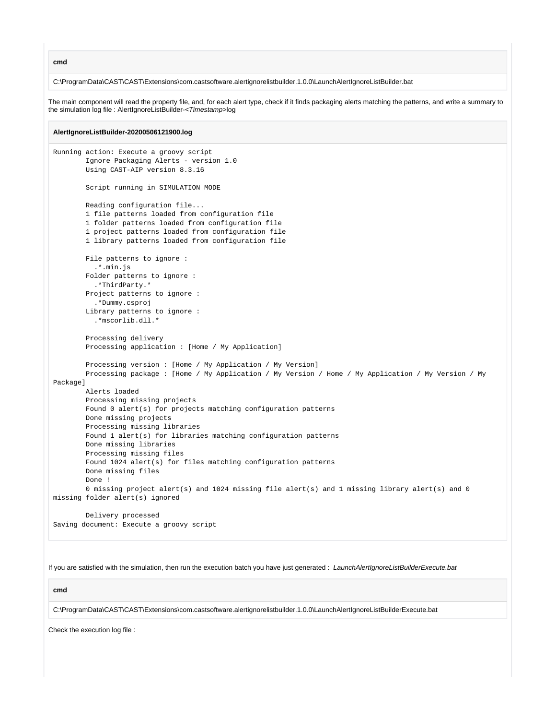**cmd**

C:\ProgramData\CAST\CAST\Extensions\com.castsoftware.alertignorelistbuilder.1.0.0\LaunchAlertIgnoreListBuilder.bat

The main component will read the property file, and, for each alert type, check if it finds packaging alerts matching the patterns, and write a summary to the simulation log file : AlertIgnoreListBuilder-<Timestamp>log

#### **AlertIgnoreListBuilder-20200506121900.log**

```
Running action: Execute a groovy script
         Ignore Packaging Alerts - version 1.0
         Using CAST-AIP version 8.3.16
         Script running in SIMULATION MODE
        Reading configuration file...
         1 file patterns loaded from configuration file
         1 folder patterns loaded from configuration file
         1 project patterns loaded from configuration file
         1 library patterns loaded from configuration file
         File patterns to ignore :
           .*.min.js
         Folder patterns to ignore :
           .*ThirdParty.*
         Project patterns to ignore :
           .*Dummy.csproj
         Library patterns to ignore :
           .*mscorlib.dll.*
         Processing delivery
         Processing application : [Home / My Application]
         Processing version : [Home / My Application / My Version]
         Processing package : [Home / My Application / My Version / Home / My Application / My Version / My 
Package]
         Alerts loaded
         Processing missing projects
         Found 0 alert(s) for projects matching configuration patterns
         Done missing projects
         Processing missing libraries
         Found 1 alert(s) for libraries matching configuration patterns
         Done missing libraries
         Processing missing files
         Found 1024 alert(s) for files matching configuration patterns
         Done missing files
         Done !
         0 missing project alert(s) and 1024 missing file alert(s) and 1 missing library alert(s) and 0 
missing folder alert(s) ignored
         Delivery processed
Saving document: Execute a groovy script
```
If you are satisfied with the simulation, then run the execution batch you have just generated : LaunchAlertIgnoreListBuilderExecute.bat

**cmd**

C:\ProgramData\CAST\CAST\Extensions\com.castsoftware.alertignorelistbuilder.1.0.0\LaunchAlertIgnoreListBuilderExecute.bat

Check the execution log file :